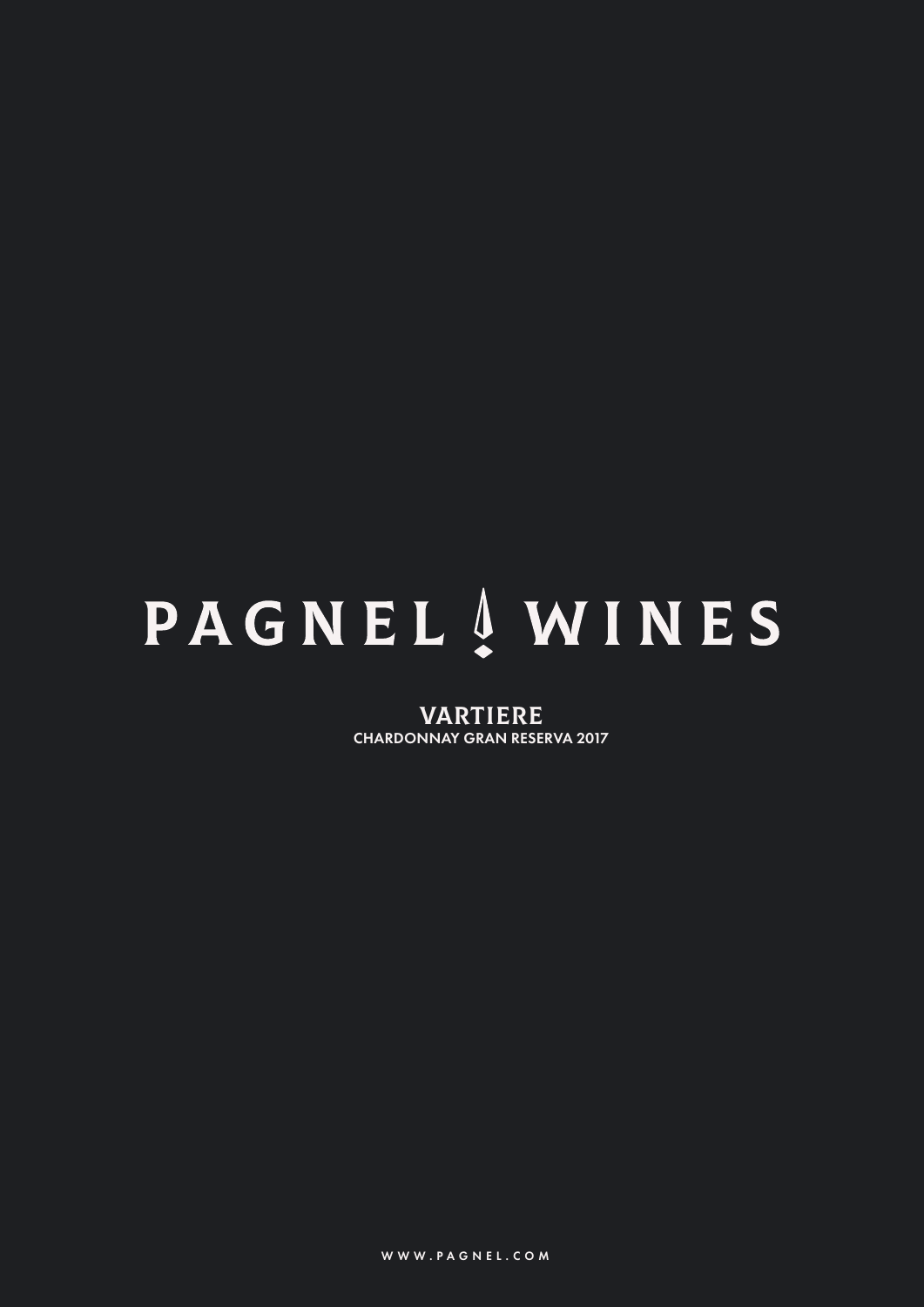# **PAGNEL** AWINES

VARTIERE CHARDONNAY GRAN RESERVA 2017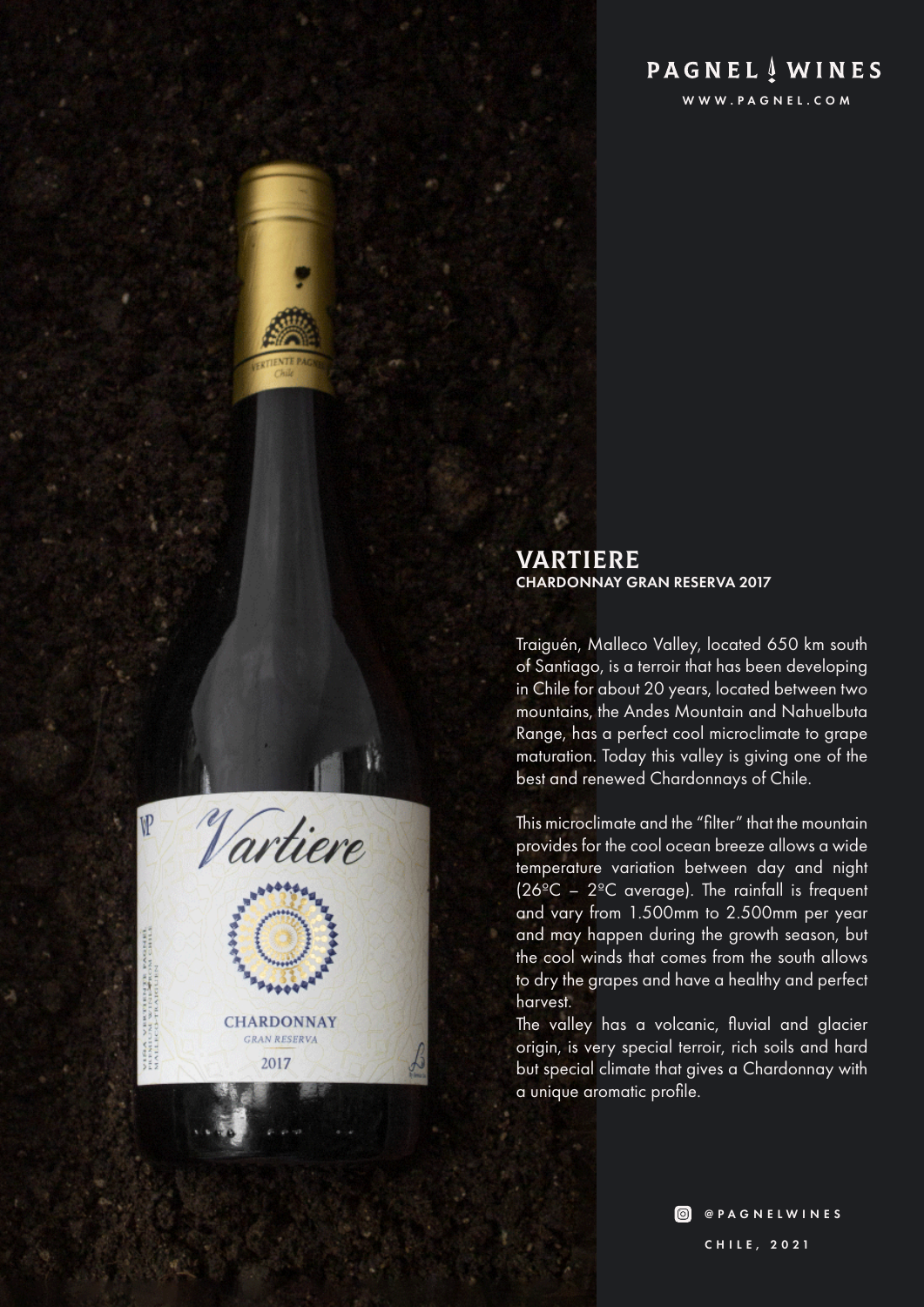# **PAGNEL** WINES

WWW.PAGNEL.COM

# VARTIERE CHARDONNAY GRAN RESERVA 2017

Traiguén, Malleco Valley, located 650 km south of Santiago, is a terroir that has been developing in Chile for about 20 years, located between two mountains, the Andes Mountain and Nahuelbuta Range, has a perfect cool microclimate to grape maturation. Today this valley is giving one of the best and renewed Chardonnays of Chile.

This microclimate and the "filter" that the mountain provides for the cool ocean breeze allows a wide temperature variation between day and night  $(26^{\circ}C - 2^{\circ}C$  average). The rainfall is frequent and vary from 1.500mm to 2.500mm per year and may happen during the growth season, but the cool winds that comes from the south allows to dry the grapes and have a healthy and perfect harvest.

The valley has a volcanic, fluvial and glacier origin, is very special terroir, rich soils and hard but special climate that gives a Chardonnay with a unique aromatic profile.

> **O** @PAGNELWINES CHILE, 2021